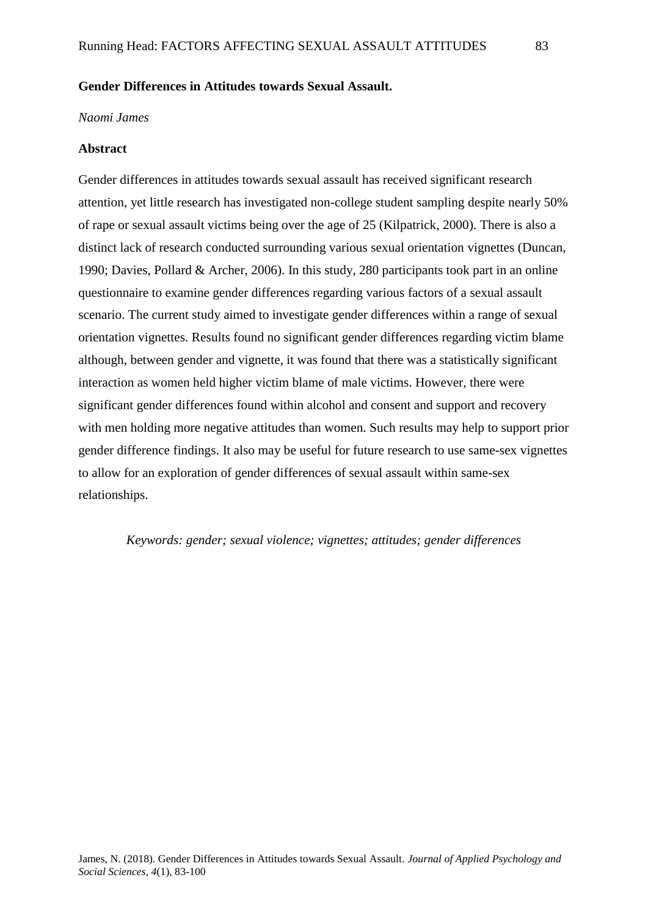# **Gender Differences in Attitudes towards Sexual Assault.**

# *Naomi James*

#### **Abstract**

Gender differences in attitudes towards sexual assault has received significant research attention, yet little research has investigated non-college student sampling despite nearly 50% of rape or sexual assault victims being over the age of 25 (Kilpatrick, 2000). There is also a distinct lack of research conducted surrounding various sexual orientation vignettes (Duncan, 1990; Davies, Pollard & Archer, 2006). In this study, 280 participants took part in an online questionnaire to examine gender differences regarding various factors of a sexual assault scenario. The current study aimed to investigate gender differences within a range of sexual orientation vignettes. Results found no significant gender differences regarding victim blame although, between gender and vignette, it was found that there was a statistically significant interaction as women held higher victim blame of male victims. However, there were significant gender differences found within alcohol and consent and support and recovery with men holding more negative attitudes than women. Such results may help to support prior gender difference findings. It also may be useful for future research to use same-sex vignettes to allow for an exploration of gender differences of sexual assault within same-sex relationships.

## *Keywords: gender; sexual violence; vignettes; attitudes; gender differences*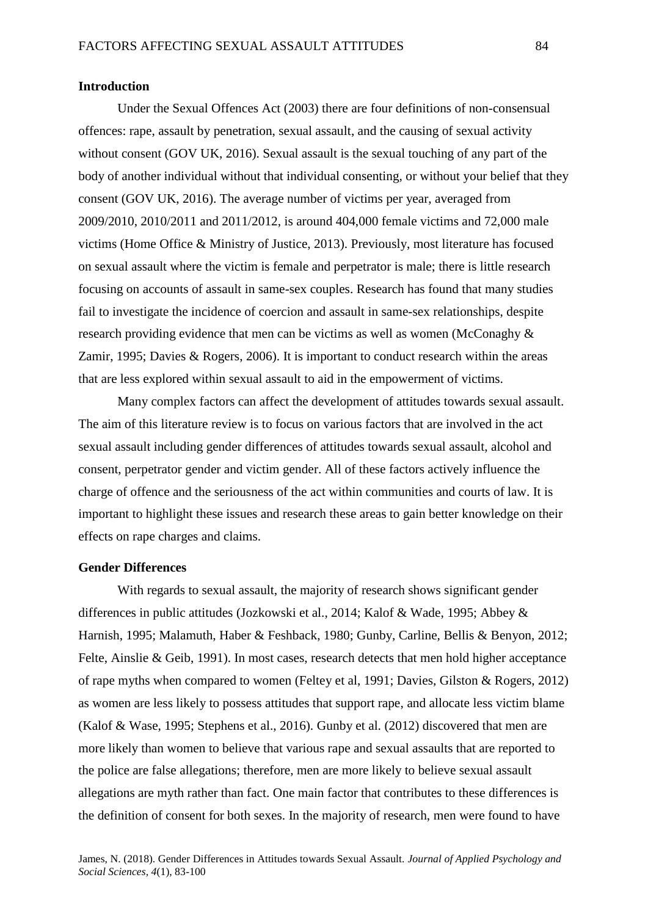#### **Introduction**

Under the Sexual Offences Act (2003) there are four definitions of non-consensual offences: rape, assault by penetration, sexual assault, and the causing of sexual activity without consent (GOV UK, 2016). Sexual assault is the sexual touching of any part of the body of another individual without that individual consenting, or without your belief that they consent (GOV UK, 2016). The average number of victims per year, averaged from 2009/2010, 2010/2011 and 2011/2012, is around 404,000 female victims and 72,000 male victims (Home Office & Ministry of Justice, 2013). Previously, most literature has focused on sexual assault where the victim is female and perpetrator is male; there is little research focusing on accounts of assault in same-sex couples. Research has found that many studies fail to investigate the incidence of coercion and assault in same-sex relationships, despite research providing evidence that men can be victims as well as women (McConaghy & Zamir, 1995; Davies & Rogers, 2006). It is important to conduct research within the areas that are less explored within sexual assault to aid in the empowerment of victims.

 Many complex factors can affect the development of attitudes towards sexual assault. The aim of this literature review is to focus on various factors that are involved in the act sexual assault including gender differences of attitudes towards sexual assault, alcohol and consent, perpetrator gender and victim gender. All of these factors actively influence the charge of offence and the seriousness of the act within communities and courts of law. It is important to highlight these issues and research these areas to gain better knowledge on their effects on rape charges and claims.

# **Gender Differences**

With regards to sexual assault, the majority of research shows significant gender differences in public attitudes (Jozkowski et al., 2014; Kalof & Wade, 1995; Abbey & Harnish, 1995; Malamuth, Haber & Feshback, 1980; Gunby, Carline, Bellis & Benyon, 2012; Felte, Ainslie & Geib, 1991). In most cases, research detects that men hold higher acceptance of rape myths when compared to women (Feltey et al, 1991; Davies, Gilston & Rogers, 2012) as women are less likely to possess attitudes that support rape, and allocate less victim blame (Kalof & Wase, 1995; Stephens et al., 2016). Gunby et al. (2012) discovered that men are more likely than women to believe that various rape and sexual assaults that are reported to the police are false allegations; therefore, men are more likely to believe sexual assault allegations are myth rather than fact. One main factor that contributes to these differences is the definition of consent for both sexes. In the majority of research, men were found to have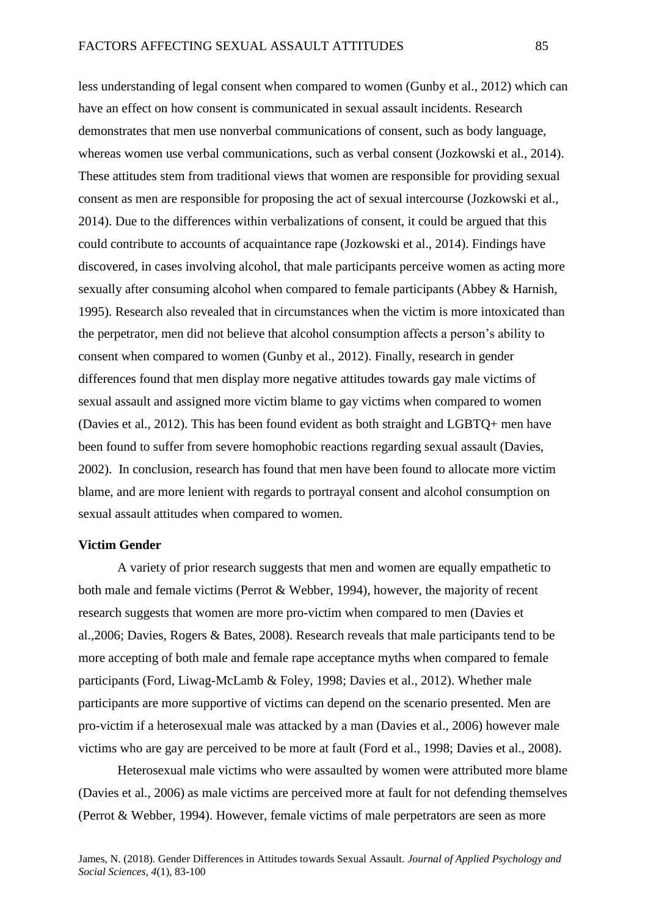less understanding of legal consent when compared to women (Gunby et al., 2012) which can have an effect on how consent is communicated in sexual assault incidents. Research demonstrates that men use nonverbal communications of consent, such as body language, whereas women use verbal communications, such as verbal consent (Jozkowski et al., 2014). These attitudes stem from traditional views that women are responsible for providing sexual consent as men are responsible for proposing the act of sexual intercourse (Jozkowski et al., 2014). Due to the differences within verbalizations of consent, it could be argued that this could contribute to accounts of acquaintance rape (Jozkowski et al., 2014). Findings have discovered, in cases involving alcohol, that male participants perceive women as acting more sexually after consuming alcohol when compared to female participants (Abbey & Harnish, 1995). Research also revealed that in circumstances when the victim is more intoxicated than the perpetrator, men did not believe that alcohol consumption affects a person's ability to consent when compared to women (Gunby et al., 2012). Finally, research in gender differences found that men display more negative attitudes towards gay male victims of sexual assault and assigned more victim blame to gay victims when compared to women (Davies et al., 2012). This has been found evident as both straight and LGBTQ+ men have been found to suffer from severe homophobic reactions regarding sexual assault (Davies, 2002). In conclusion, research has found that men have been found to allocate more victim blame, and are more lenient with regards to portrayal consent and alcohol consumption on sexual assault attitudes when compared to women.

# **Victim Gender**

A variety of prior research suggests that men and women are equally empathetic to both male and female victims (Perrot & Webber, 1994), however, the majority of recent research suggests that women are more pro-victim when compared to men (Davies et al.,2006; Davies, Rogers & Bates, 2008). Research reveals that male participants tend to be more accepting of both male and female rape acceptance myths when compared to female participants (Ford, Liwag-McLamb & Foley, 1998; Davies et al., 2012). Whether male participants are more supportive of victims can depend on the scenario presented. Men are pro-victim if a heterosexual male was attacked by a man (Davies et al., 2006) however male victims who are gay are perceived to be more at fault (Ford et al., 1998; Davies et al., 2008).

Heterosexual male victims who were assaulted by women were attributed more blame (Davies et al., 2006) as male victims are perceived more at fault for not defending themselves (Perrot & Webber, 1994). However, female victims of male perpetrators are seen as more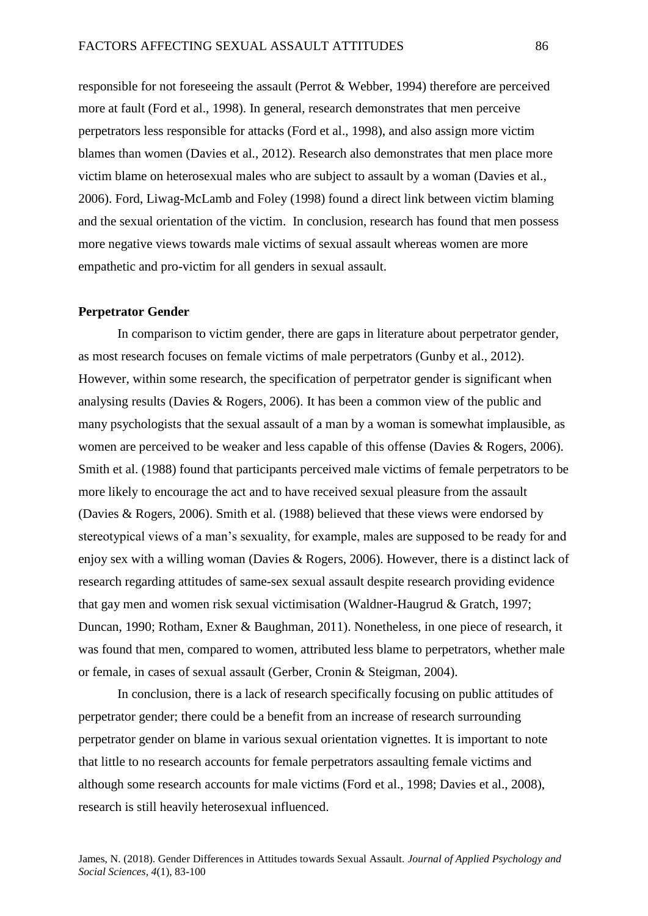responsible for not foreseeing the assault (Perrot & Webber, 1994) therefore are perceived more at fault (Ford et al., 1998). In general, research demonstrates that men perceive perpetrators less responsible for attacks (Ford et al., 1998), and also assign more victim blames than women (Davies et al., 2012). Research also demonstrates that men place more victim blame on heterosexual males who are subject to assault by a woman (Davies et al., 2006). Ford, Liwag-McLamb and Foley (1998) found a direct link between victim blaming and the sexual orientation of the victim. In conclusion, research has found that men possess more negative views towards male victims of sexual assault whereas women are more empathetic and pro-victim for all genders in sexual assault.

### **Perpetrator Gender**

In comparison to victim gender, there are gaps in literature about perpetrator gender, as most research focuses on female victims of male perpetrators (Gunby et al., 2012). However, within some research, the specification of perpetrator gender is significant when analysing results (Davies & Rogers, 2006). It has been a common view of the public and many psychologists that the sexual assault of a man by a woman is somewhat implausible, as women are perceived to be weaker and less capable of this offense (Davies & Rogers, 2006). Smith et al. (1988) found that participants perceived male victims of female perpetrators to be more likely to encourage the act and to have received sexual pleasure from the assault (Davies & Rogers, 2006). Smith et al. (1988) believed that these views were endorsed by stereotypical views of a man's sexuality, for example, males are supposed to be ready for and enjoy sex with a willing woman (Davies & Rogers, 2006). However, there is a distinct lack of research regarding attitudes of same-sex sexual assault despite research providing evidence that gay men and women risk sexual victimisation (Waldner-Haugrud & Gratch, 1997; Duncan, 1990; Rotham, Exner & Baughman, 2011). Nonetheless, in one piece of research, it was found that men, compared to women, attributed less blame to perpetrators, whether male or female, in cases of sexual assault (Gerber, Cronin & Steigman, 2004).

In conclusion, there is a lack of research specifically focusing on public attitudes of perpetrator gender; there could be a benefit from an increase of research surrounding perpetrator gender on blame in various sexual orientation vignettes. It is important to note that little to no research accounts for female perpetrators assaulting female victims and although some research accounts for male victims (Ford et al., 1998; Davies et al., 2008), research is still heavily heterosexual influenced.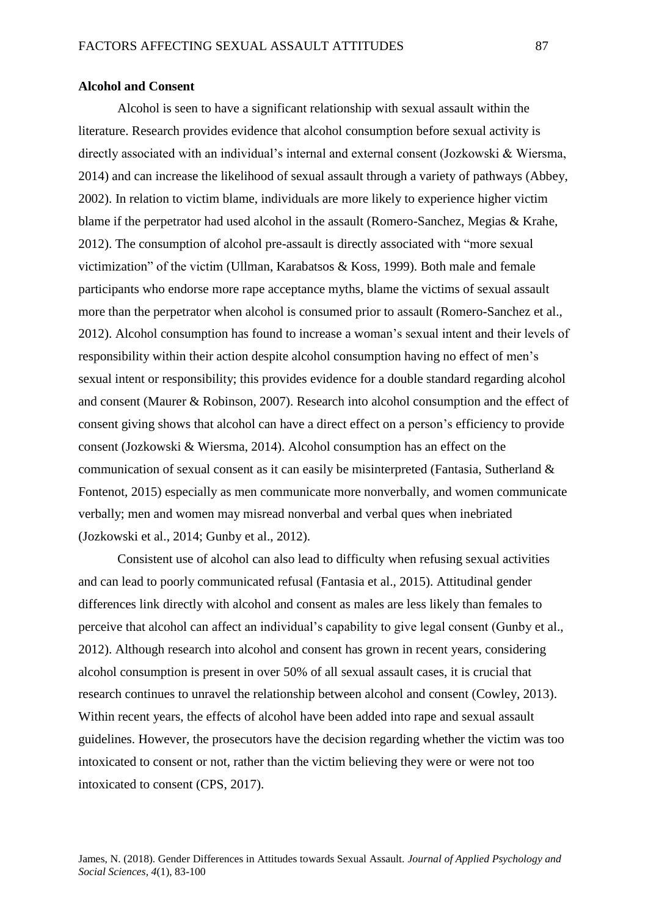### **Alcohol and Consent**

Alcohol is seen to have a significant relationship with sexual assault within the literature. Research provides evidence that alcohol consumption before sexual activity is directly associated with an individual's internal and external consent (Jozkowski & Wiersma, 2014) and can increase the likelihood of sexual assault through a variety of pathways (Abbey, 2002). In relation to victim blame, individuals are more likely to experience higher victim blame if the perpetrator had used alcohol in the assault (Romero-Sanchez, Megias & Krahe, 2012). The consumption of alcohol pre-assault is directly associated with "more sexual victimization" of the victim (Ullman, Karabatsos & Koss, 1999). Both male and female participants who endorse more rape acceptance myths, blame the victims of sexual assault more than the perpetrator when alcohol is consumed prior to assault (Romero-Sanchez et al., 2012). Alcohol consumption has found to increase a woman's sexual intent and their levels of responsibility within their action despite alcohol consumption having no effect of men's sexual intent or responsibility; this provides evidence for a double standard regarding alcohol and consent (Maurer & Robinson, 2007). Research into alcohol consumption and the effect of consent giving shows that alcohol can have a direct effect on a person's efficiency to provide consent (Jozkowski & Wiersma, 2014). Alcohol consumption has an effect on the communication of sexual consent as it can easily be misinterpreted (Fantasia, Sutherland & Fontenot, 2015) especially as men communicate more nonverbally, and women communicate verbally; men and women may misread nonverbal and verbal ques when inebriated (Jozkowski et al., 2014; Gunby et al., 2012).

Consistent use of alcohol can also lead to difficulty when refusing sexual activities and can lead to poorly communicated refusal (Fantasia et al., 2015). Attitudinal gender differences link directly with alcohol and consent as males are less likely than females to perceive that alcohol can affect an individual's capability to give legal consent (Gunby et al., 2012). Although research into alcohol and consent has grown in recent years, considering alcohol consumption is present in over 50% of all sexual assault cases, it is crucial that research continues to unravel the relationship between alcohol and consent (Cowley, 2013). Within recent years, the effects of alcohol have been added into rape and sexual assault guidelines. However, the prosecutors have the decision regarding whether the victim was too intoxicated to consent or not, rather than the victim believing they were or were not too intoxicated to consent (CPS, 2017).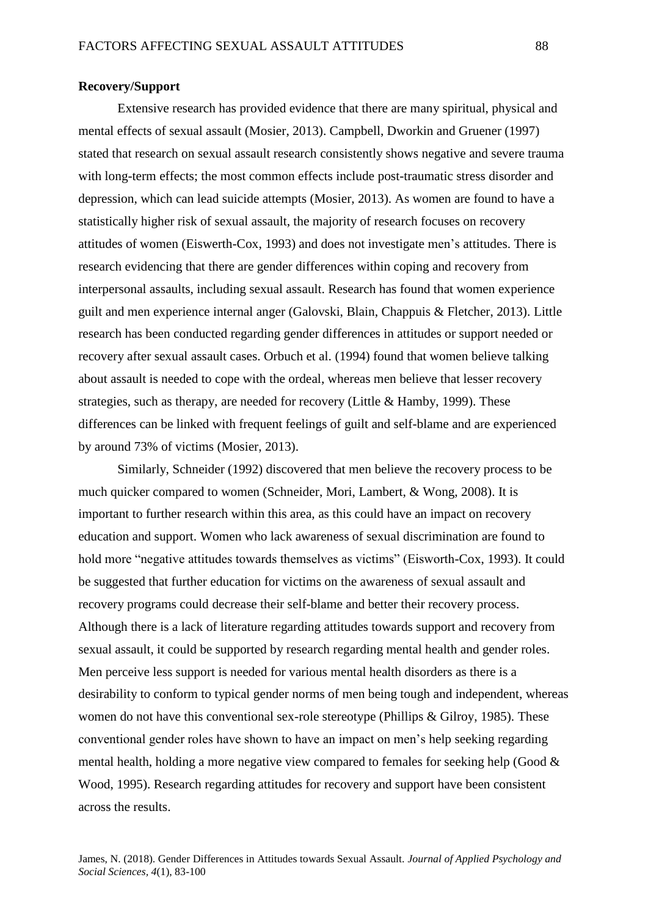## **Recovery/Support**

Extensive research has provided evidence that there are many spiritual, physical and mental effects of sexual assault (Mosier, 2013). Campbell, Dworkin and Gruener (1997) stated that research on sexual assault research consistently shows negative and severe trauma with long-term effects; the most common effects include post-traumatic stress disorder and depression, which can lead suicide attempts (Mosier, 2013). As women are found to have a statistically higher risk of sexual assault, the majority of research focuses on recovery attitudes of women (Eiswerth-Cox, 1993) and does not investigate men's attitudes. There is research evidencing that there are gender differences within coping and recovery from interpersonal assaults, including sexual assault. Research has found that women experience guilt and men experience internal anger (Galovski, Blain, Chappuis & Fletcher, 2013). Little research has been conducted regarding gender differences in attitudes or support needed or recovery after sexual assault cases. Orbuch et al. (1994) found that women believe talking about assault is needed to cope with the ordeal, whereas men believe that lesser recovery strategies, such as therapy, are needed for recovery (Little & Hamby, 1999). These differences can be linked with frequent feelings of guilt and self-blame and are experienced by around 73% of victims (Mosier, 2013).

Similarly, Schneider (1992) discovered that men believe the recovery process to be much quicker compared to women (Schneider, Mori, Lambert, & Wong, 2008). It is important to further research within this area, as this could have an impact on recovery education and support. Women who lack awareness of sexual discrimination are found to hold more "negative attitudes towards themselves as victims" (Eisworth-Cox, 1993). It could be suggested that further education for victims on the awareness of sexual assault and recovery programs could decrease their self-blame and better their recovery process. Although there is a lack of literature regarding attitudes towards support and recovery from sexual assault, it could be supported by research regarding mental health and gender roles. Men perceive less support is needed for various mental health disorders as there is a desirability to conform to typical gender norms of men being tough and independent, whereas women do not have this conventional sex-role stereotype (Phillips & Gilroy, 1985). These conventional gender roles have shown to have an impact on men's help seeking regarding mental health, holding a more negative view compared to females for seeking help (Good  $\&$ Wood, 1995). Research regarding attitudes for recovery and support have been consistent across the results.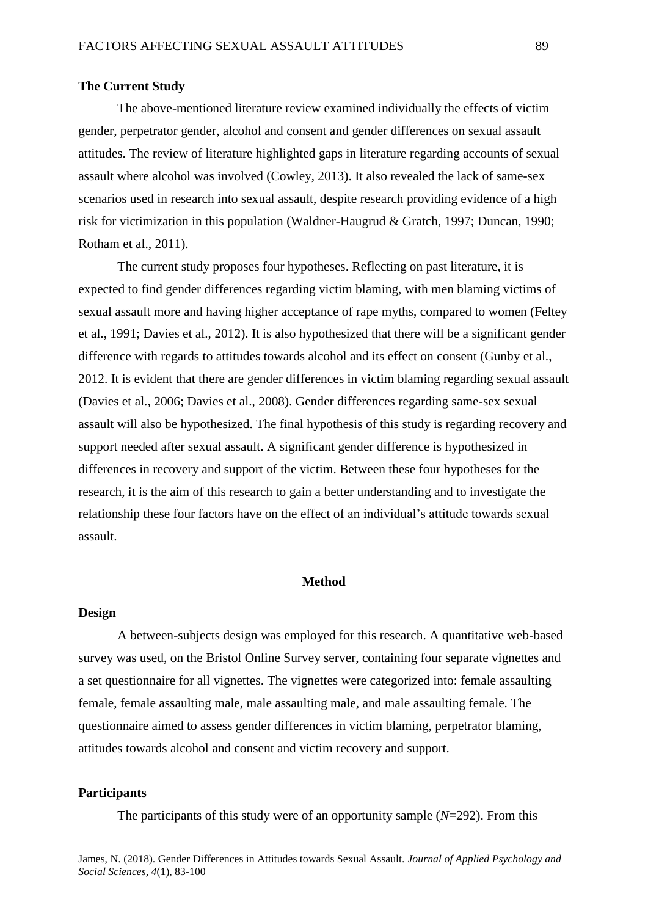#### **The Current Study**

The above-mentioned literature review examined individually the effects of victim gender, perpetrator gender, alcohol and consent and gender differences on sexual assault attitudes. The review of literature highlighted gaps in literature regarding accounts of sexual assault where alcohol was involved (Cowley, 2013). It also revealed the lack of same-sex scenarios used in research into sexual assault, despite research providing evidence of a high risk for victimization in this population (Waldner-Haugrud & Gratch, 1997; Duncan, 1990; Rotham et al., 2011).

The current study proposes four hypotheses. Reflecting on past literature, it is expected to find gender differences regarding victim blaming, with men blaming victims of sexual assault more and having higher acceptance of rape myths, compared to women (Feltey et al., 1991; Davies et al., 2012). It is also hypothesized that there will be a significant gender difference with regards to attitudes towards alcohol and its effect on consent (Gunby et al., 2012. It is evident that there are gender differences in victim blaming regarding sexual assault (Davies et al., 2006; Davies et al., 2008). Gender differences regarding same-sex sexual assault will also be hypothesized. The final hypothesis of this study is regarding recovery and support needed after sexual assault. A significant gender difference is hypothesized in differences in recovery and support of the victim. Between these four hypotheses for the research, it is the aim of this research to gain a better understanding and to investigate the relationship these four factors have on the effect of an individual's attitude towards sexual assault.

# **Method**

#### **Design**

A between-subjects design was employed for this research. A quantitative web-based survey was used, on the Bristol Online Survey server, containing four separate vignettes and a set questionnaire for all vignettes. The vignettes were categorized into: female assaulting female, female assaulting male, male assaulting male, and male assaulting female. The questionnaire aimed to assess gender differences in victim blaming, perpetrator blaming, attitudes towards alcohol and consent and victim recovery and support.

## **Participants**

The participants of this study were of an opportunity sample (*N*=292). From this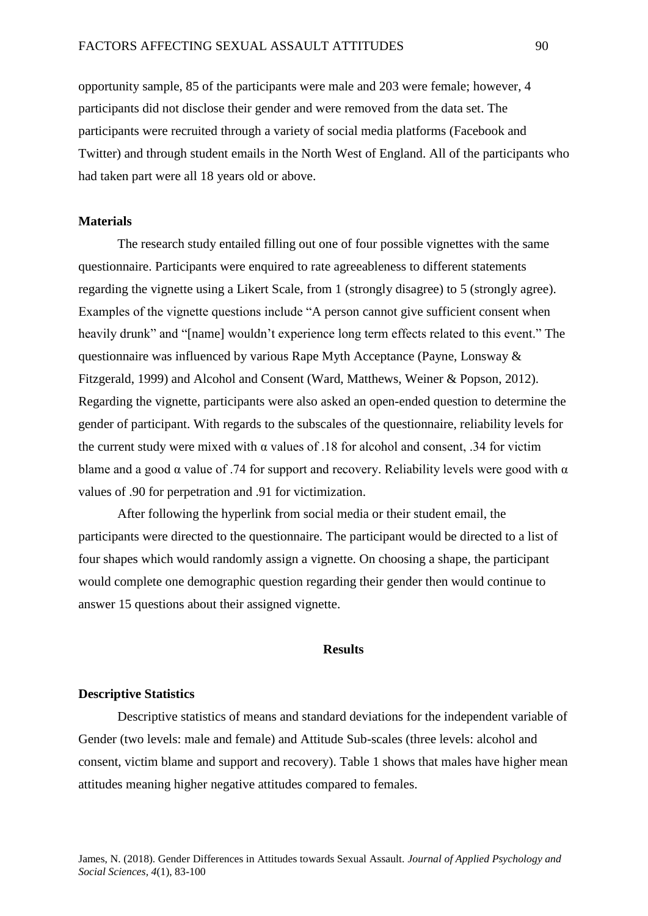opportunity sample, 85 of the participants were male and 203 were female; however, 4 participants did not disclose their gender and were removed from the data set. The participants were recruited through a variety of social media platforms (Facebook and Twitter) and through student emails in the North West of England. All of the participants who had taken part were all 18 years old or above.

# **Materials**

The research study entailed filling out one of four possible vignettes with the same questionnaire. Participants were enquired to rate agreeableness to different statements regarding the vignette using a Likert Scale, from 1 (strongly disagree) to 5 (strongly agree). Examples of the vignette questions include "A person cannot give sufficient consent when heavily drunk" and "[name] wouldn't experience long term effects related to this event." The questionnaire was influenced by various Rape Myth Acceptance (Payne, Lonsway & Fitzgerald, 1999) and Alcohol and Consent (Ward, Matthews, Weiner & Popson, 2012). Regarding the vignette, participants were also asked an open-ended question to determine the gender of participant. With regards to the subscales of the questionnaire, reliability levels for the current study were mixed with  $\alpha$  values of .18 for alcohol and consent, .34 for victim blame and a good  $\alpha$  value of .74 for support and recovery. Reliability levels were good with  $\alpha$ values of .90 for perpetration and .91 for victimization.

After following the hyperlink from social media or their student email, the participants were directed to the questionnaire. The participant would be directed to a list of four shapes which would randomly assign a vignette. On choosing a shape, the participant would complete one demographic question regarding their gender then would continue to answer 15 questions about their assigned vignette.

# **Results**

### **Descriptive Statistics**

Descriptive statistics of means and standard deviations for the independent variable of Gender (two levels: male and female) and Attitude Sub-scales (three levels: alcohol and consent, victim blame and support and recovery). Table 1 shows that males have higher mean attitudes meaning higher negative attitudes compared to females.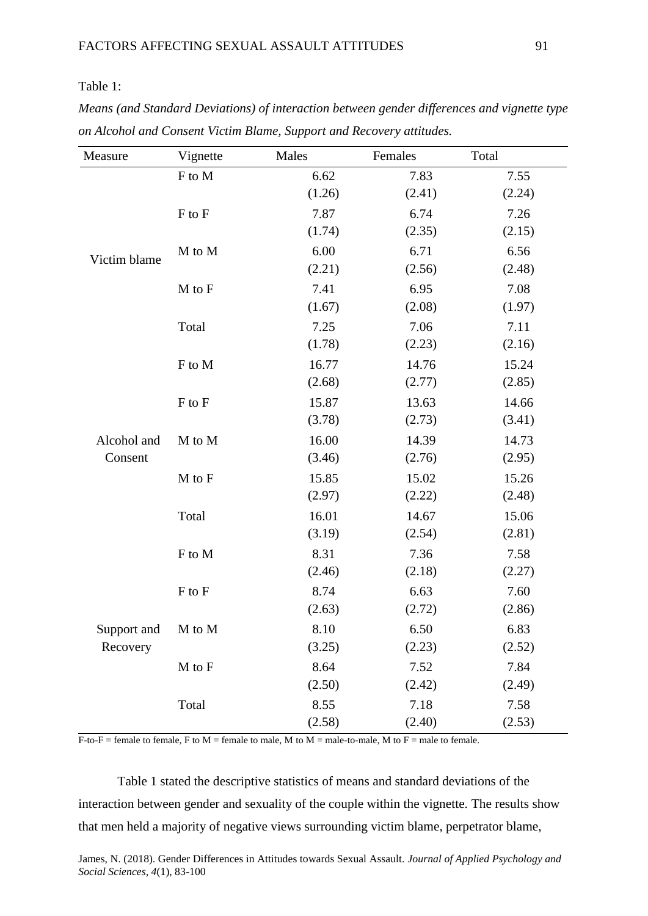# Table 1:

| Means (and Standard Deviations) of interaction between gender differences and vignette type |
|---------------------------------------------------------------------------------------------|
| on Alcohol and Consent Victim Blame, Support and Recovery attitudes.                        |

| Measure                 | Vignette | Males  | Females | Total  |
|-------------------------|----------|--------|---------|--------|
| Victim blame            | F to M   | 6.62   | 7.83    | 7.55   |
|                         |          | (1.26) | (2.41)  | (2.24) |
|                         | F to F   | 7.87   | 6.74    | 7.26   |
|                         |          | (1.74) | (2.35)  | (2.15) |
|                         | M to M   | 6.00   | 6.71    | 6.56   |
|                         |          | (2.21) | (2.56)  | (2.48) |
|                         | M to F   | 7.41   | 6.95    | 7.08   |
|                         |          | (1.67) | (2.08)  | (1.97) |
|                         | Total    | 7.25   | 7.06    | 7.11   |
|                         |          | (1.78) | (2.23)  | (2.16) |
| Alcohol and<br>Consent  | F to M   | 16.77  | 14.76   | 15.24  |
|                         |          | (2.68) | (2.77)  | (2.85) |
|                         | F to F   | 15.87  | 13.63   | 14.66  |
|                         |          | (3.78) | (2.73)  | (3.41) |
|                         | M to M   | 16.00  | 14.39   | 14.73  |
|                         |          | (3.46) | (2.76)  | (2.95) |
|                         | M to F   | 15.85  | 15.02   | 15.26  |
|                         |          | (2.97) | (2.22)  | (2.48) |
|                         | Total    | 16.01  | 14.67   | 15.06  |
|                         |          | (3.19) | (2.54)  | (2.81) |
| Support and<br>Recovery | F to M   | 8.31   | 7.36    | 7.58   |
|                         |          | (2.46) | (2.18)  | (2.27) |
|                         | F to F   | 8.74   | 6.63    | 7.60   |
|                         |          | (2.63) | (2.72)  | (2.86) |
|                         | M to M   | 8.10   | 6.50    | 6.83   |
|                         |          | (3.25) | (2.23)  | (2.52) |
|                         | M to F   | 8.64   | 7.52    | 7.84   |
|                         |          | (2.50) | (2.42)  | (2.49) |
|                         | Total    | 8.55   | 7.18    | 7.58   |
|                         |          | (2.58) | (2.40)  | (2.53) |

 $\overline{F}$ -to- $\overline{F}$  = female to female,  $\overline{F}$  to  $\overline{M}$  = female to male,  $\overline{M}$  to  $\overline{M}$  = male-to-male,  $\overline{M}$  to  $\overline{F}$  = male to female.

Table 1 stated the descriptive statistics of means and standard deviations of the interaction between gender and sexuality of the couple within the vignette. The results show that men held a majority of negative views surrounding victim blame, perpetrator blame,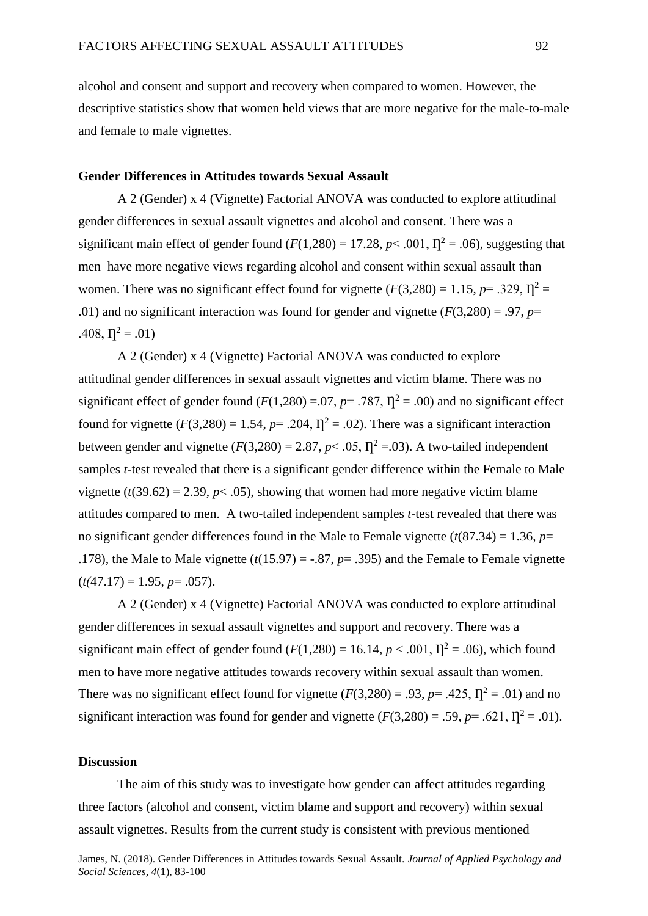alcohol and consent and support and recovery when compared to women. However, the descriptive statistics show that women held views that are more negative for the male-to-male and female to male vignettes.

# **Gender Differences in Attitudes towards Sexual Assault**

A 2 (Gender) x 4 (Vignette) Factorial ANOVA was conducted to explore attitudinal gender differences in sexual assault vignettes and alcohol and consent. There was a significant main effect of gender found  $(F(1,280) = 17.28, p < .001, \Pi^2 = .06)$ , suggesting that men have more negative views regarding alcohol and consent within sexual assault than women. There was no significant effect found for vignette  $(F(3,280) = 1.15, p = .329, \Pi^2 =$ .01) and no significant interaction was found for gender and vignette  $(F(3,280) = .97, p=$  $.408, \eta^2 = .01$ 

A 2 (Gender) x 4 (Vignette) Factorial ANOVA was conducted to explore attitudinal gender differences in sexual assault vignettes and victim blame. There was no significant effect of gender found ( $F(1,280) = .07$ ,  $p = .787$ ,  $\Gamma^2 = .00$ ) and no significant effect found for vignette  $(F(3,280) = 1.54, p = .204, \Pi^2 = .02)$ . There was a significant interaction between gender and vignette  $(F(3,280) = 2.87, p < .05, \Pi^2 = .03)$ . A two-tailed independent samples *t*-test revealed that there is a significant gender difference within the Female to Male vignette  $(t(39.62) = 2.39, p < .05)$ , showing that women had more negative victim blame attitudes compared to men. A two-tailed independent samples *t*-test revealed that there was no significant gender differences found in the Male to Female vignette  $(t(87.34) = 1.36, p=$ .178), the Male to Male vignette  $(t(15.97) = -.87, p = .395)$  and the Female to Female vignette  $(t(47.17) = 1.95, p = .057)$ .

A 2 (Gender) x 4 (Vignette) Factorial ANOVA was conducted to explore attitudinal gender differences in sexual assault vignettes and support and recovery. There was a significant main effect of gender found  $(F(1,280) = 16.14, p < .001, \Pi^2 = .06)$ , which found men to have more negative attitudes towards recovery within sexual assault than women. There was no significant effect found for vignette  $(F(3,280) = .93, p = .425, \Pi^2 = .01)$  and no significant interaction was found for gender and vignette  $(F(3,280) = .59, p = .621, \Pi^2 = .01)$ .

# **Discussion**

The aim of this study was to investigate how gender can affect attitudes regarding three factors (alcohol and consent, victim blame and support and recovery) within sexual assault vignettes. Results from the current study is consistent with previous mentioned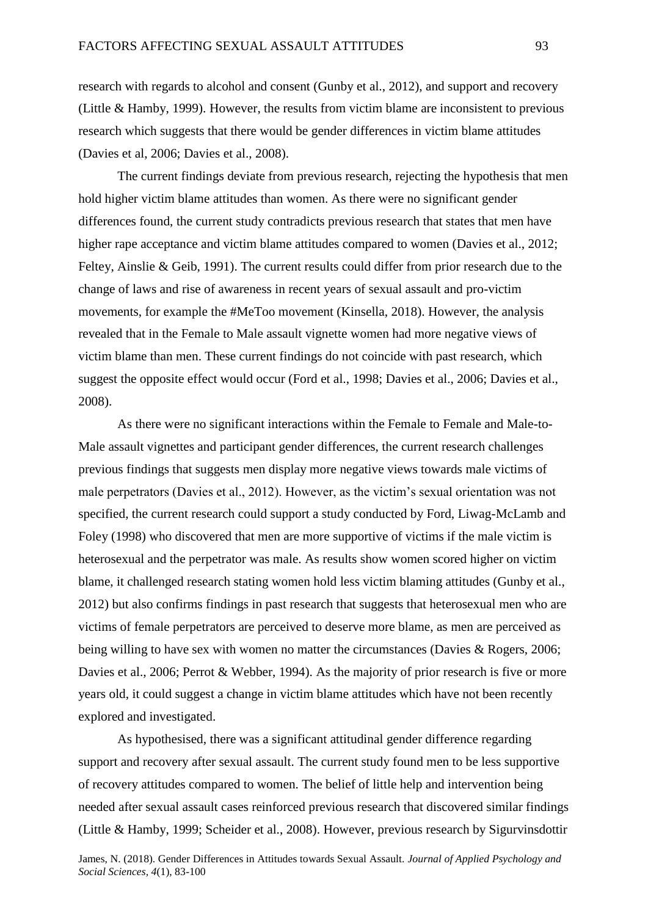research with regards to alcohol and consent (Gunby et al., 2012), and support and recovery (Little & Hamby, 1999). However, the results from victim blame are inconsistent to previous research which suggests that there would be gender differences in victim blame attitudes (Davies et al, 2006; Davies et al., 2008).

The current findings deviate from previous research, rejecting the hypothesis that men hold higher victim blame attitudes than women. As there were no significant gender differences found, the current study contradicts previous research that states that men have higher rape acceptance and victim blame attitudes compared to women (Davies et al., 2012; Feltey, Ainslie & Geib, 1991). The current results could differ from prior research due to the change of laws and rise of awareness in recent years of sexual assault and pro-victim movements, for example the #MeToo movement (Kinsella, 2018). However, the analysis revealed that in the Female to Male assault vignette women had more negative views of victim blame than men. These current findings do not coincide with past research, which suggest the opposite effect would occur (Ford et al., 1998; Davies et al., 2006; Davies et al., 2008).

As there were no significant interactions within the Female to Female and Male-to-Male assault vignettes and participant gender differences, the current research challenges previous findings that suggests men display more negative views towards male victims of male perpetrators (Davies et al., 2012). However, as the victim's sexual orientation was not specified, the current research could support a study conducted by Ford, Liwag-McLamb and Foley (1998) who discovered that men are more supportive of victims if the male victim is heterosexual and the perpetrator was male. As results show women scored higher on victim blame, it challenged research stating women hold less victim blaming attitudes (Gunby et al., 2012) but also confirms findings in past research that suggests that heterosexual men who are victims of female perpetrators are perceived to deserve more blame, as men are perceived as being willing to have sex with women no matter the circumstances (Davies & Rogers, 2006; Davies et al., 2006; Perrot & Webber, 1994). As the majority of prior research is five or more years old, it could suggest a change in victim blame attitudes which have not been recently explored and investigated.

As hypothesised, there was a significant attitudinal gender difference regarding support and recovery after sexual assault. The current study found men to be less supportive of recovery attitudes compared to women. The belief of little help and intervention being needed after sexual assault cases reinforced previous research that discovered similar findings (Little & Hamby, 1999; Scheider et al., 2008). However, previous research by Sigurvinsdottir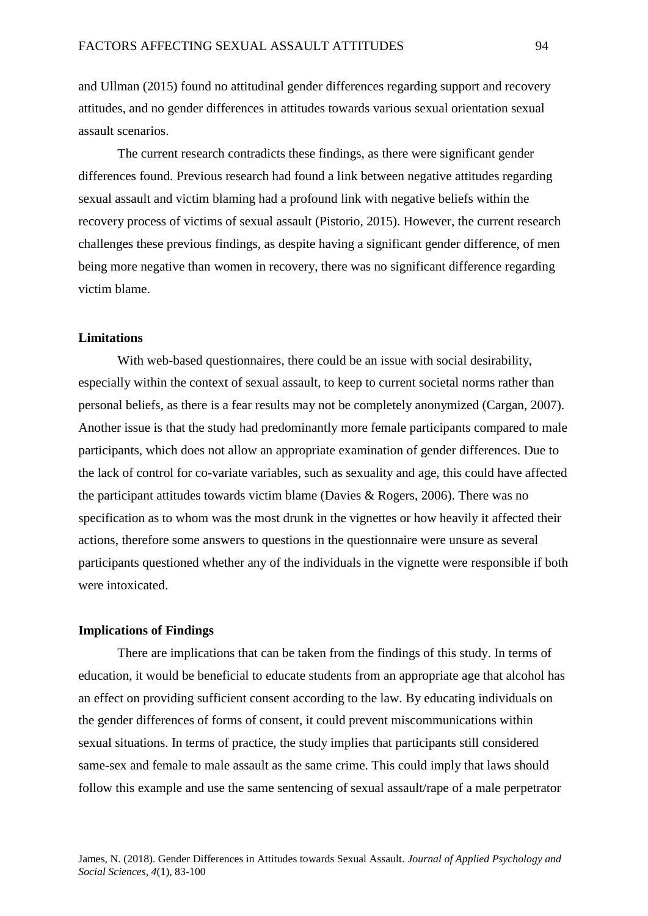and Ullman (2015) found no attitudinal gender differences regarding support and recovery attitudes, and no gender differences in attitudes towards various sexual orientation sexual assault scenarios.

The current research contradicts these findings, as there were significant gender differences found. Previous research had found a link between negative attitudes regarding sexual assault and victim blaming had a profound link with negative beliefs within the recovery process of victims of sexual assault (Pistorio, 2015). However, the current research challenges these previous findings, as despite having a significant gender difference, of men being more negative than women in recovery, there was no significant difference regarding victim blame.

## **Limitations**

With web-based questionnaires, there could be an issue with social desirability, especially within the context of sexual assault, to keep to current societal norms rather than personal beliefs, as there is a fear results may not be completely anonymized (Cargan, 2007). Another issue is that the study had predominantly more female participants compared to male participants, which does not allow an appropriate examination of gender differences. Due to the lack of control for co-variate variables, such as sexuality and age, this could have affected the participant attitudes towards victim blame (Davies & Rogers, 2006). There was no specification as to whom was the most drunk in the vignettes or how heavily it affected their actions, therefore some answers to questions in the questionnaire were unsure as several participants questioned whether any of the individuals in the vignette were responsible if both were intoxicated.

#### **Implications of Findings**

There are implications that can be taken from the findings of this study. In terms of education, it would be beneficial to educate students from an appropriate age that alcohol has an effect on providing sufficient consent according to the law. By educating individuals on the gender differences of forms of consent, it could prevent miscommunications within sexual situations. In terms of practice, the study implies that participants still considered same-sex and female to male assault as the same crime. This could imply that laws should follow this example and use the same sentencing of sexual assault/rape of a male perpetrator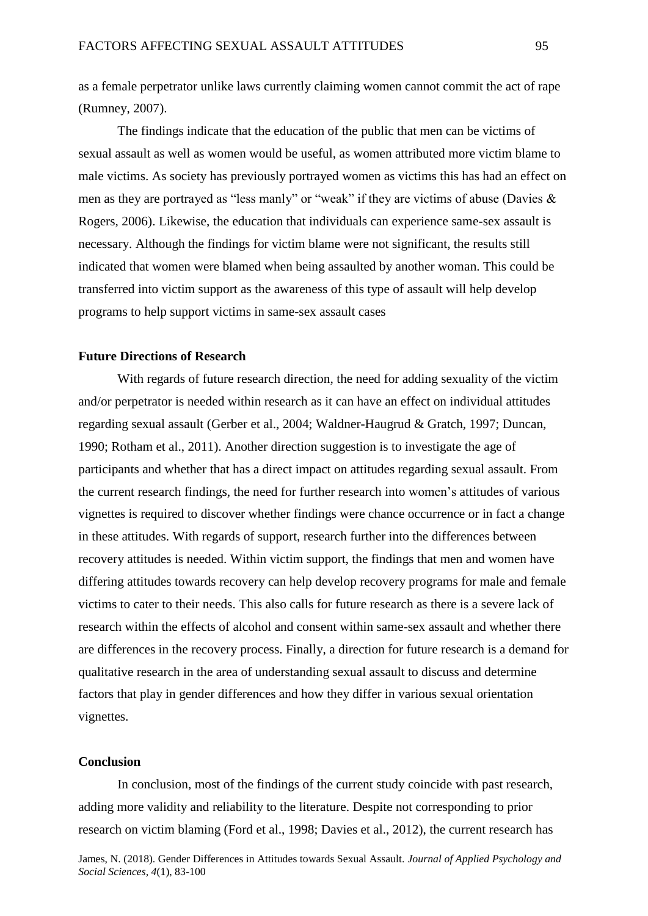as a female perpetrator unlike laws currently claiming women cannot commit the act of rape (Rumney, 2007).

The findings indicate that the education of the public that men can be victims of sexual assault as well as women would be useful, as women attributed more victim blame to male victims. As society has previously portrayed women as victims this has had an effect on men as they are portrayed as "less manly" or "weak" if they are victims of abuse (Davies & Rogers, 2006). Likewise, the education that individuals can experience same-sex assault is necessary. Although the findings for victim blame were not significant, the results still indicated that women were blamed when being assaulted by another woman. This could be transferred into victim support as the awareness of this type of assault will help develop programs to help support victims in same-sex assault cases

# **Future Directions of Research**

With regards of future research direction, the need for adding sexuality of the victim and/or perpetrator is needed within research as it can have an effect on individual attitudes regarding sexual assault (Gerber et al., 2004; Waldner-Haugrud & Gratch, 1997; Duncan, 1990; Rotham et al., 2011). Another direction suggestion is to investigate the age of participants and whether that has a direct impact on attitudes regarding sexual assault. From the current research findings, the need for further research into women's attitudes of various vignettes is required to discover whether findings were chance occurrence or in fact a change in these attitudes. With regards of support, research further into the differences between recovery attitudes is needed. Within victim support, the findings that men and women have differing attitudes towards recovery can help develop recovery programs for male and female victims to cater to their needs. This also calls for future research as there is a severe lack of research within the effects of alcohol and consent within same-sex assault and whether there are differences in the recovery process. Finally, a direction for future research is a demand for qualitative research in the area of understanding sexual assault to discuss and determine factors that play in gender differences and how they differ in various sexual orientation vignettes.

# **Conclusion**

In conclusion, most of the findings of the current study coincide with past research, adding more validity and reliability to the literature. Despite not corresponding to prior research on victim blaming (Ford et al., 1998; Davies et al., 2012), the current research has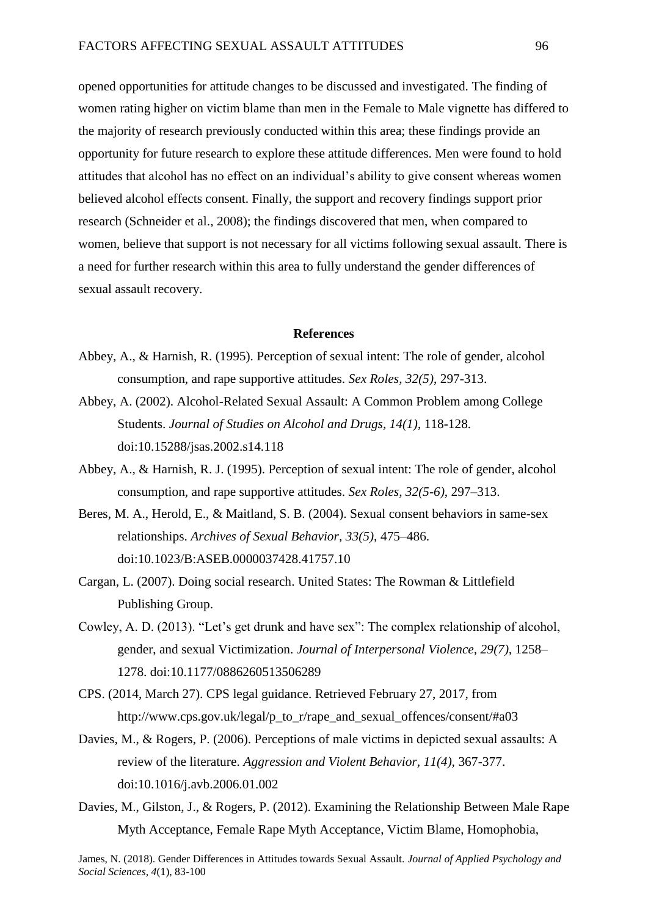opened opportunities for attitude changes to be discussed and investigated. The finding of women rating higher on victim blame than men in the Female to Male vignette has differed to the majority of research previously conducted within this area; these findings provide an opportunity for future research to explore these attitude differences. Men were found to hold attitudes that alcohol has no effect on an individual's ability to give consent whereas women believed alcohol effects consent. Finally, the support and recovery findings support prior research (Schneider et al., 2008); the findings discovered that men, when compared to women, believe that support is not necessary for all victims following sexual assault. There is a need for further research within this area to fully understand the gender differences of sexual assault recovery.

#### **References**

- Abbey, A., & Harnish, R. (1995). Perception of sexual intent: The role of gender, alcohol consumption, and rape supportive attitudes. *Sex Roles, 32(5)*, 297-313.
- Abbey, A. (2002). Alcohol-Related Sexual Assault: A Common Problem among College Students. *Journal of Studies on Alcohol and Drugs, 14(1)*, 118-128. doi:10.15288/jsas.2002.s14.118
- Abbey, A., & Harnish, R. J. (1995). Perception of sexual intent: The role of gender, alcohol consumption, and rape supportive attitudes. *Sex Roles, 32(5-6)*, 297–313.
- Beres, M. A., Herold, E., & Maitland, S. B. (2004). Sexual consent behaviors in same-sex relationships. *Archives of Sexual Behavior, 33(5)*, 475–486. doi:10.1023/B:ASEB.0000037428.41757.10
- Cargan, L. (2007). Doing social research. United States: The Rowman & Littlefield Publishing Group.
- Cowley, A. D. (2013). "Let's get drunk and have sex": The complex relationship of alcohol, gender, and sexual Victimization. *Journal of Interpersonal Violence, 29(7),* 1258– 1278. doi:10.1177/0886260513506289
- CPS. (2014, March 27). CPS legal guidance. Retrieved February 27, 2017, from [http://www.cps.gov.uk/legal/p\\_to\\_r/rape\\_and\\_sexual\\_offences/consent/#a03](http://www.cps.gov.uk/legal/p_to_r/rape_and_sexual_offences/consent/#a03)
- Davies, M., & Rogers, P. (2006). Perceptions of male victims in depicted sexual assaults: A review of the literature. *Aggression and Violent Behavior, 11(4),* 367-377. doi:10.1016/j.avb.2006.01.002
- Davies, M., Gilston, J., & Rogers, P. (2012). Examining the Relationship Between Male Rape Myth Acceptance, Female Rape Myth Acceptance, Victim Blame, Homophobia,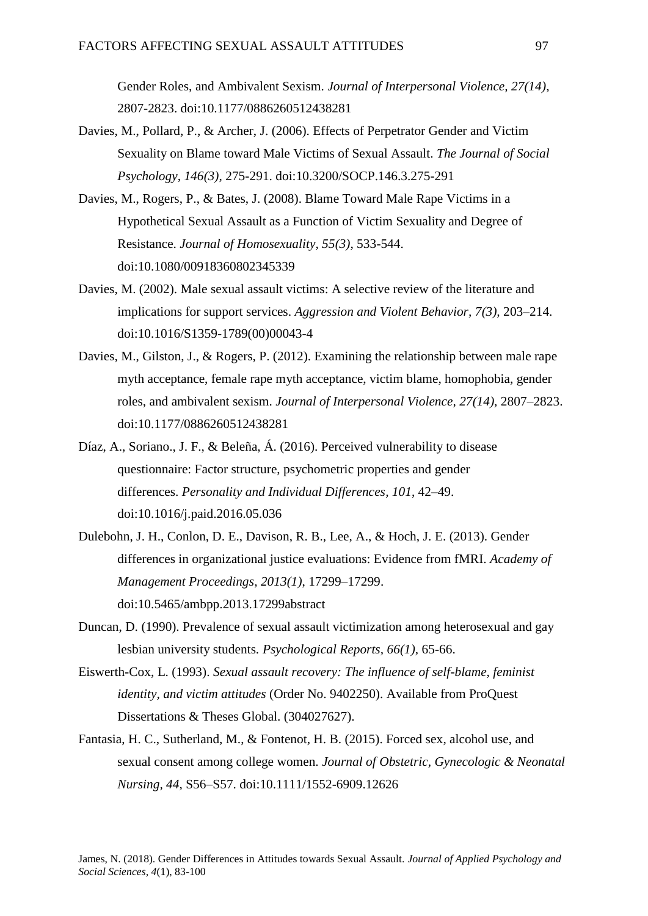Gender Roles, and Ambivalent Sexism. *Journal of Interpersonal Violence, 27(14)*, 2807-2823. doi:10.1177/0886260512438281

- Davies, M., Pollard, P., & Archer, J. (2006). Effects of Perpetrator Gender and Victim Sexuality on Blame toward Male Victims of Sexual Assault. *The Journal of Social Psychology, 146(3)*, 275-291. doi:10.3200/SOCP.146.3.275-291
- Davies, M., Rogers, P., & Bates, J. (2008). Blame Toward Male Rape Victims in a Hypothetical Sexual Assault as a Function of Victim Sexuality and Degree of Resistance. *Journal of Homosexuality, 55(3)*, 533-544. doi:10.1080/00918360802345339
- Davies, M. (2002). Male sexual assault victims: A selective review of the literature and implications for support services. *Aggression and Violent Behavior, 7(3),* 203–214. doi:10.1016/S1359-1789(00)00043-4
- Davies, M., Gilston, J., & Rogers, P. (2012). Examining the relationship between male rape myth acceptance, female rape myth acceptance, victim blame, homophobia, gender roles, and ambivalent sexism. *Journal of Interpersonal Violence, 27(14),* 2807–2823. doi:10.1177/0886260512438281
- Díaz, A., Soriano., J. F., & Beleña, Á. (2016). Perceived vulnerability to disease questionnaire: Factor structure, psychometric properties and gender differences. *Personality and Individual Differences, 101*, 42–49. doi:10.1016/j.paid.2016.05.036
- Dulebohn, J. H., Conlon, D. E., Davison, R. B., Lee, A., & Hoch, J. E. (2013). Gender differences in organizational justice evaluations: Evidence from fMRI. *Academy of Management Proceedings, 2013(1)*, 17299–17299. doi:10.5465/ambpp.2013.17299abstract
- Duncan, D. (1990). Prevalence of sexual assault victimization among heterosexual and gay lesbian university students*. Psychological Reports, 66(1),* 65-66.
- Eiswerth-Cox, L. (1993). *Sexual assault recovery: The influence of self-blame, feminist identity, and victim attitudes* (Order No. 9402250). Available from ProQuest Dissertations & Theses Global. (304027627).
- Fantasia, H. C., Sutherland, M., & Fontenot, H. B. (2015). Forced sex, alcohol use, and sexual consent among college women. *Journal of Obstetric, Gynecologic & Neonatal Nursing, 44*, S56–S57. doi:10.1111/1552-6909.12626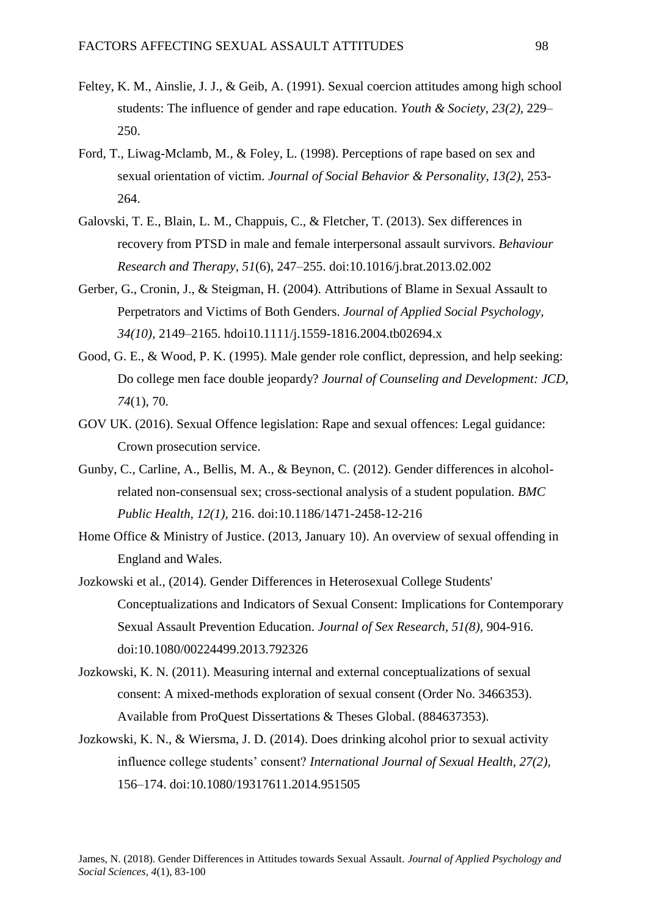- Feltey, K. M., Ainslie, J. J., & Geib, A. (1991). Sexual coercion attitudes among high school students: The influence of gender and rape education. *Youth & Society, 23(2),* 229– 250.
- Ford, T., Liwag-Mclamb, M., & Foley, L. (1998). Perceptions of rape based on sex and sexual orientation of victim. *Journal of Social Behavior & Personality, 13(2),* 253- 264.
- Galovski, T. E., Blain, L. M., Chappuis, C., & Fletcher, T. (2013). Sex differences in recovery from PTSD in male and female interpersonal assault survivors. *Behaviour Research and Therapy*, *51*(6), 247–255. doi:10.1016/j.brat.2013.02.002
- Gerber, G., Cronin, J., & Steigman, H. (2004). Attributions of Blame in Sexual Assault to Perpetrators and Victims of Both Genders. *Journal of Applied Social Psychology, 34(10),* 2149–2165. [hdoi10.1111/j.1559-1816.2004.tb02694.x](https://doi.org/10.1111/j.1559-1816.2004.tb02694.x)
- Good, G. E., & Wood, P. K. (1995). Male gender role conflict, depression, and help seeking: Do college men face double jeopardy? *Journal of Counseling and Development: JCD, 74*(1), 70.
- GOV UK. (2016). Sexual Offence legislation: Rape and sexual offences: Legal guidance: Crown prosecution service.
- Gunby, C., Carline, A., Bellis, M. A., & Beynon, C. (2012). Gender differences in alcoholrelated non-consensual sex; cross-sectional analysis of a student population. *BMC Public Health, 12(1),* 216. doi:10.1186/1471-2458-12-216
- Home Office & Ministry of Justice. (2013, January 10). An overview of sexual offending in England and Wales.
- Jozkowski et al., (2014). Gender Differences in Heterosexual College Students' Conceptualizations and Indicators of Sexual Consent: Implications for Contemporary Sexual Assault Prevention Education. *Journal of Sex Research, 51(8),* 904-916. doi:10.1080/00224499.2013.792326
- Jozkowski, K. N. (2011). Measuring internal and external conceptualizations of sexual consent: A mixed-methods exploration of sexual consent (Order No. 3466353). Available from ProQuest Dissertations & Theses Global. (884637353).
- Jozkowski, K. N., & Wiersma, J. D. (2014). Does drinking alcohol prior to sexual activity influence college students' consent? *International Journal of Sexual Health, 27(2),* 156–174. doi:10.1080/19317611.2014.951505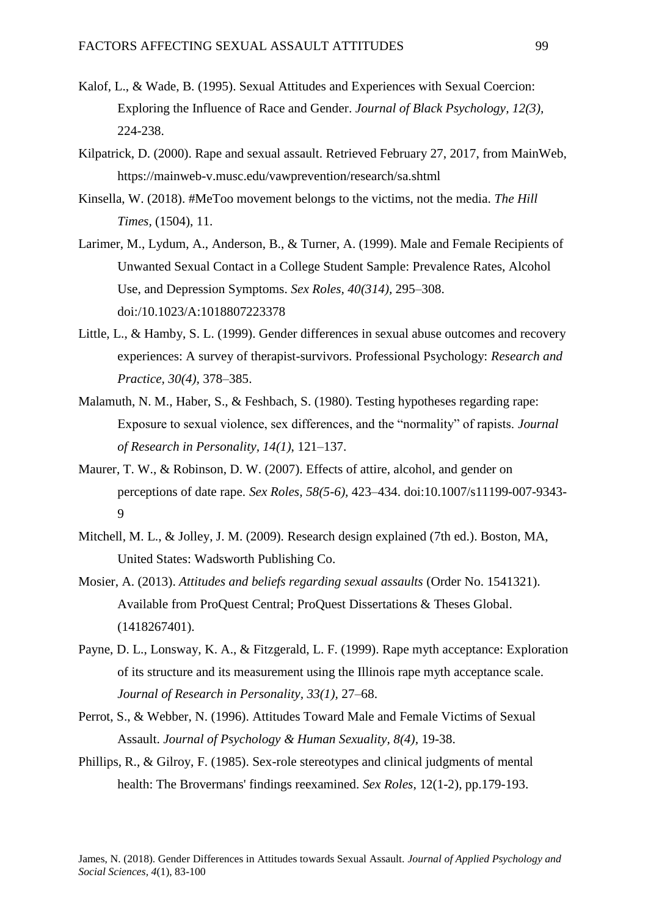- Kalof, L., & Wade, B. (1995). Sexual Attitudes and Experiences with Sexual Coercion: Exploring the Influence of Race and Gender. *Journal of Black Psychology, 12(3),* 224-238.
- Kilpatrick, D. (2000). Rape and sexual assault. Retrieved February 27, 2017, from MainWeb, <https://mainweb-v.musc.edu/vawprevention/research/sa.shtml>
- Kinsella, W. (2018). #MeToo movement belongs to the victims, not the media. *The Hill Times,* (1504), 11.
- Larimer, M., Lydum, A., Anderson, B., & Turner, A. (1999). Male and Female Recipients of Unwanted Sexual Contact in a College Student Sample: Prevalence Rates, Alcohol Use, and Depression Symptoms. *Sex Roles, 40(314),* 295–308. doi:/10.1023/A:1018807223378
- Little, L., & Hamby, S. L. (1999). Gender differences in sexual abuse outcomes and recovery experiences: A survey of therapist-survivors. Professional Psychology: *Research and Practice, 30(4),* 378–385.
- Malamuth, N. M., Haber, S., & Feshbach, S. (1980). Testing hypotheses regarding rape: Exposure to sexual violence, sex differences, and the "normality" of rapists. *Journal of Research in Personality, 14(1)*, 121–137.
- Maurer, T. W., & Robinson, D. W. (2007). Effects of attire, alcohol, and gender on perceptions of date rape. *Sex Roles, 58(5-6),* 423–434. doi:10.1007/s11199-007-9343- 9
- Mitchell, M. L., & Jolley, J. M. (2009). Research design explained (7th ed.). Boston, MA, United States: Wadsworth Publishing Co.
- Mosier, A. (2013). *Attitudes and beliefs regarding sexual assaults* (Order No. 1541321). Available from ProQuest Central; ProQuest Dissertations & Theses Global. (1418267401).
- Payne, D. L., Lonsway, K. A., & Fitzgerald, L. F. (1999). Rape myth acceptance: Exploration of its structure and its measurement using the Illinois rape myth acceptance scale. *Journal of Research in Personality, 33(1),* 27–68.
- Perrot, S., & Webber, N. (1996). Attitudes Toward Male and Female Victims of Sexual Assault. *Journal of Psychology & Human Sexuality, 8(4),* 19-38.
- Phillips, R., & Gilroy, F. (1985). Sex-role stereotypes and clinical judgments of mental health: The Brovermans' findings reexamined. *Sex Roles*, 12(1-2), pp.179-193.